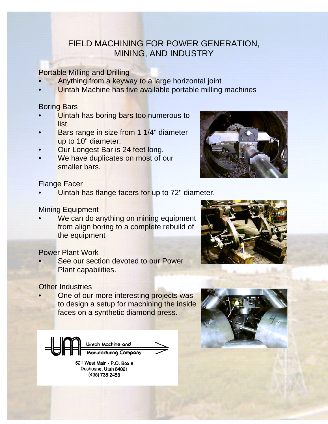# FIELD MACHINING FOR POWER GENERATION, MINING, AND INDUSTRY

Portable Milling and Drilling

- Anything from a keyway to a large horizontal joint
- Uintah Machine has five available portable milling machines

#### Boring Bars

- Uintah has boring bars too numerous to list.
- Bars range in size from 1 1/4" diameter up to 10" diameter.
- Our Longest Bar is 24 feet long.
- We have duplicates on most of our smaller bars.



### Flange Facer

Uintah has flange facers for up to 72" diameter.

### Mining Equipment

We can do anything on mining equipment from align boring to a complete rebuild of the equipment

### Power Plant Work

See our section devoted to our Power Plant capabilities.

### Other Industries

One of our more interesting projects was to design a setup for machining the inside faces on a synthetic diamond press.



Duchesne, Utah 84021 (435) 738-2453



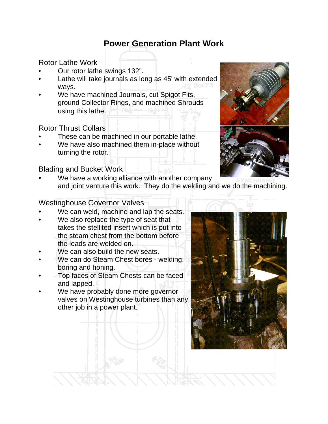Rotor Lathe Work

- Our rotor lathe swings 132".
- Lathe will take journals as long as 45' with extended ways.
- We have machined Journals, cut Spigot Fits, ground Collector Rings, and machined Shrouds using this lathe.

### Rotor Thrust Collars

- These can be machined in our portable lathe.
- We have also machined them in-place without turning the rotor.

### Blading and Bucket Work

We have a working alliance with another company and joint venture this work. They do the welding and we do the machining.

### Westinghouse Governor Valves

- We can weld, machine and lap the seats.
- We also replace the type of seat that takes the stellited insert which is put into the steam chest from the bottom before the leads are welded on.
- We can also build the new seats.
- We can do Steam Chest bores welding, boring and honing.
- Top faces of Steam Chests can be faced and lapped.
- We have probably done more governor valves on Westinghouse turbines than any other job in a power plant.



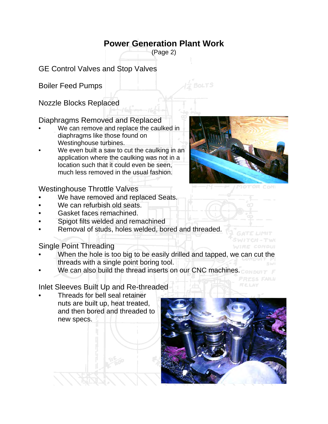(Page 2)

GE Control Valves and Stop Valves

Boiler Feed Pumps

Nozzle Blocks Replaced

### Diaphragms Removed and Replaced

- We can remove and replace the caulked in diaphragms like those found on Westinghouse turbines.
- We even built a saw to cut the caulking in an application where the caulking was not in a location such that it could even be seen, much less removed in the usual fashion.

### Westinghouse Throttle Valves

- We have removed and replaced Seats.
- We can refurbish old seats.
- Gasket faces remachined.
- Spigot filts welded and remachined
- Removal of studs, holes welded, bored and threaded.

### Single Point Threading

- When the hole is too big to be easily drilled and tapped, we can cut the threads with a single point boring tool.
- We can also build the thread inserts on our CNC machines.

Inlet Sleeves Built Up and Re-threaded

• Threads for bell seal retainer nuts are built up, heat treated, and then bored and threaded to new specs.





SWITCH-TW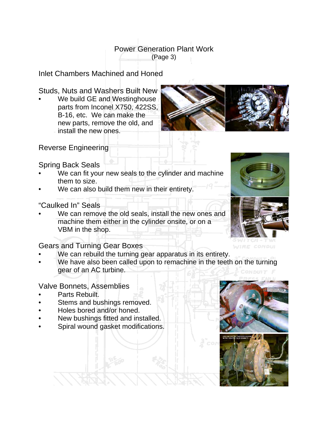(Page 3)

Inlet Chambers Machined and Honed

Studs, Nuts and Washers Built New

We build GE and Westinghouse parts from Inconel X750, 422SS, B-16, etc. We can make the new parts, remove the old, and install the new ones.



Reverse Engineering

Spring Back Seals

- We can fit your new seals to the cylinder and machine them to size.
- We can also build them new in their entirety.

"Caulked In" Seals

We can remove the old seals, install the new ones and machine them either in the cylinder onsite, or on a VBM in the shop.

Gears and Turning Gear Boxes

- We can rebuild the turning gear apparatus in its entirety.
- We have also been called upon to remachine in the teeth on the turning gear of an AC turbine.

Valve Bonnets, Assemblies

- Parts Rebuilt.
- Stems and bushings removed.
- Holes bored and/or honed.
- New bushings fitted and installed.
- Spiral wound gasket modifications.





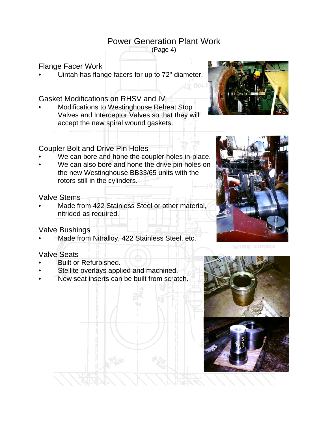(Page 4)

### Flange Facer Work

• Uintah has flange facers for up to 72" diameter.

Gasket Modifications on RHSV and IV

• Modifications to Westinghouse Reheat Stop Valves and Interceptor Valves so that they will accept the new spiral wound gaskets.



#### Coupler Bolt and Drive Pin Holes

- We can bore and hone the coupler holes in-place.
- We can also bore and hone the drive pin holes on the new Westinghouse BB33/65 units with the rotors still in the cylinders.

#### Valve Stems

Made from 422 Stainless Steel or other material, nitrided as required.

### Valve Bushings

Made from Nitralloy, 422 Stainless Steel, etc.

### Valve Seats

- Built or Refurbished.
- Stellite overlays applied and machined.
- New seat inserts can be built from scratch.



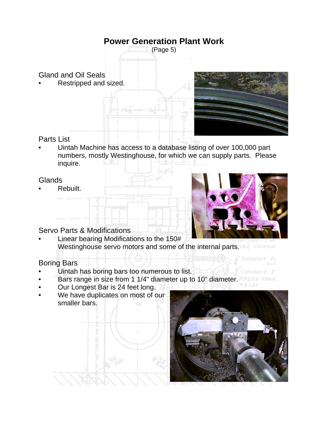

Gland and Oil Seals

• Restripped and sized.



### Parts List

• Uintah Machine has access to a database listing of over 100,000 part numbers, mostly Westinghouse, for which we can supply parts. Please inquire.

### Glands

• Rebuilt.



### Servo Parts & Modifications

• Linear bearing Modifications to the 150# Westinghouse servo motors and some of the internal parts. The comput

### Boring Bars

- Uintah has boring bars too numerous to list.
- Bars range in size from 1 1/4" diameter up to 10" diameter. PRESS FAILU
- Our Longest Bar is 24 feet long.
- We have duplicates on most of our smaller bars.